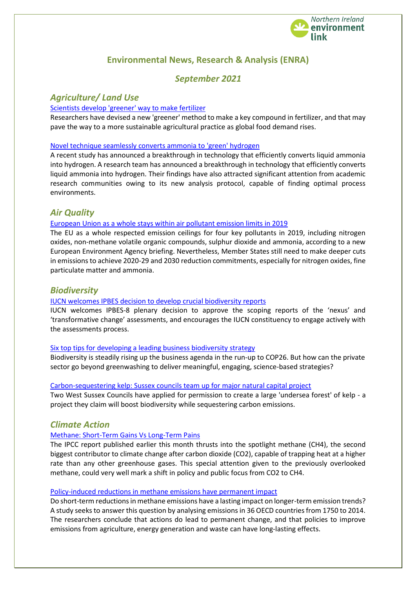

# **Environmental News, Research & Analysis (ENRA)**

# *September 2021*

# *Agriculture/ Land Use*

### [Scientists develop 'greener' way to make fertilizer](https://www.sciencedaily.com/releases/2021/08/210819125246.htm)

Researchers have devised a new 'greener' method to make a key compound in fertilizer, and that may pave the way to a more sustainable agricultural practice as global food demand rises.

### [Novel technique seamlessly converts ammonia to 'green' hydrogen](https://www.sciencedaily.com/releases/2021/08/210811162912.htm)

A recent study has announced a breakthrough in technology that efficiently converts liquid ammonia into hydrogen. A research team has announced a breakthrough in technology that efficiently converts liquid ammonia into hydrogen. Their findings have also attracted significant attention from academic research communities owing to its new analysis protocol, capable of finding optimal process environments.

### *Air Quality*

### [European Union as a whole stays within air pollutant emission limits in 2019](https://www.eea.europa.eu/highlights/eu-as-a-whole-stays)

The EU as a whole respected emission ceilings for four key pollutants in 2019, including nitrogen oxides, non-methane volatile organic compounds, sulphur dioxide and ammonia, according to a new European Environment Agency briefing. Nevertheless, Member States still need to make deeper cuts in emissions to achieve 2020-29 and 2030 reduction commitments, especially for nitrogen oxides, fine particulate matter and ammonia.

### *Biodiversity*

### [IUCN welcomes IPBES decision to develop crucial biodiversity reports](https://www.iucn.org/news/ipbes/202108/iucn-welcomes-ipbes-decision-develop-crucial-biodiversity-reports)

IUCN welcomes IPBES-8 plenary decision to approve the scoping reports of the 'nexus' and 'transformative change' assessments, and encourages the IUCN constituency to engage actively with the assessments process.

#### [Six top tips for developing a leading business biodiversity strategy](https://www.edie.net/news/7/Six-top-tips-for-developing-a-leading-business-biodiversity-strategy/)

Biodiversity is steadily rising up the business agenda in the run-up to COP26. But how can the private sector go beyond greenwashing to deliver meaningful, engaging, science-based strategies?

### [Carbon-sequestering kelp: Sussex councils team up for major natural capital project](https://www.edie.net/news/9/Carbon-sequestering-kelp--Sussex-councils-team-up-for-major-natural-capital-project/)

Two West Sussex Councils have applied for permission to create a large 'undersea forest' of kelp - a project they claim will boost biodiversity while sequestering carbon emissions.

### *Climate Action*

### [Methane: Short-Term Gains Vs Long-Term Pains](https://meta.eeb.org/2021/08/26/methanes-short-term-gains-do-not-spare-us-the-long-term-climate-pains/)

The IPCC report published earlier this month thrusts into the spotlight methane (CH4), the second biggest contributor to climate change after carbon dioxide (CO2), capable of trapping heat at a higher rate than any other greenhouse gases. This special attention given to the previously overlooked methane, could very well mark a shift in policy and public focus from CO2 to CH4.

### [Policy-induced reductions in methane emissions have permanent impact](https://ec.europa.eu/environment/integration/research/newsalert/pdf/566na2-en_persistence-of-methane-emissions.pdf)

Do short-term reductions in methane emissions have a lasting impact on longer-term emission trends? A study seeks to answer this question by analysing emissions in 36 OECD countries from 1750 to 2014. The researchers conclude that actions do lead to permanent change, and that policies to improve emissions from agriculture, energy generation and waste can have long-lasting effects.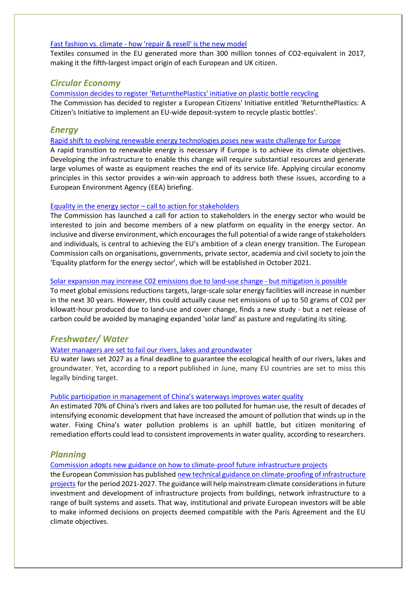### Fast fashion vs. climate - [how 'repair & resell' is the new model](https://euobserver.com/opinion/152837)

Textiles consumed in the EU generated more than 300 million tonnes of CO2-equivalent in 2017, making it the fifth-largest impact origin of each European and UK citizen.

# *Circular Economy*

[Commission decides to register 'ReturnthePlastics' initiative on plastic bottle recycling](https://ec.europa.eu/commission/presscorner/detail/en/ip_21_4182) The Commission has decided to register a European Citizens' Initiative entitled 'ReturnthePlastics: A Citizen's Initiative to implement an EU-wide deposit-system to recycle plastic bottles'.

# *Energy*

[Rapid shift to evolving renewable energy technologies poses new waste challenge for Europe](https://www.eea.europa.eu/highlights/rapid-shift-to-evolving-renewable)

A rapid transition to renewable energy is necessary if Europe is to achieve its climate objectives. Developing the infrastructure to enable this change will require substantial resources and generate large volumes of waste as equipment reaches the end of its service life. Applying circular economy principles in this sector provides a win-win approach to address both these issues, according to a European Environment Agency (EEA) briefing.

### Equality in the energy sector – [call to action for stakeholders](https://ec.europa.eu/info/news/equality-energy-sector-call-action-stakeholders-2021-aug-17_en)

The Commission has launched a call for action to stakeholders in the energy sector who would be interested to join and become members of a new platform on equality in the energy sector. An inclusive and diverse environment, which encouragesthe full potential of a wide range of stakeholders and individuals, is central to achieving the EU's ambition of a clean energy transition. The European Commission calls on organisations, governments, private sector, academia and civil society to join the 'Equality platform for the energy sector', which will be established in October 2021.

#### [Solar expansion may increase C02](https://ec.europa.eu/environment/integration/research/newsalert/pdf/565na1-1306_en-land_use_of_solar_energy_and_potential_co2_emissions.pdf) emissions due to land-use change - but mitigation is possible

To meet global emissions reductions targets, large-scale solar energy facilities will increase in number in the next 30 years. However, this could actually cause net emissions of up to 50 grams of CO2 per kilowatt-hour produced due to land-use and cover change, finds a new study - but a net release of carbon could be avoided by managing expanded 'solar land' as pasture and regulating its siting.

# *Freshwater/ Water*

### [Water managers are set to fail our rivers, lakes and groundwater](https://meta.eeb.org/2021/07/28/water-managers-are-set-to-fail-our-rivers-lakes-and-groundwater/)

EU water laws set 2027 as a final deadline to guarantee the ecological health of our rivers, lakes and groundwater. Yet, according to a report published in June, many EU countries are set to miss this legally binding target.

### [Public participation in management of China's waterways improves water quality](https://www.sciencedaily.com/releases/2021/08/210831190322.htm)

An estimated 70% of China's rivers and lakes are too polluted for human use, the result of decades of intensifying economic development that have increased the amount of pollution that winds up in the water. Fixing China's water pollution problems is an uphill battle, but citizen monitoring of remediation efforts could lead to consistent improvements in water quality, according to researchers.

# *Planning*

[Commission adopts new guidance on how to climate-proof future infrastructure projects](https://ec.europa.eu/commission/presscorner/detail/en/IP_21_3943)

the European Commission has published [new technical guidance on climate-proofing of infrastructure](https://ec.europa.eu/clima/sites/default/files/adaptation/what/docs/climate_proofing_guidance_en.pdf)  [projects](https://ec.europa.eu/clima/sites/default/files/adaptation/what/docs/climate_proofing_guidance_en.pdf) for the period 2021-2027. The guidance will help mainstream climate considerations in future investment and development of infrastructure projects from buildings, network infrastructure to a range of built systems and assets. That way, institutional and private European investors will be able to make informed decisions on projects deemed compatible with the Paris Agreement and the EU climate objectives.